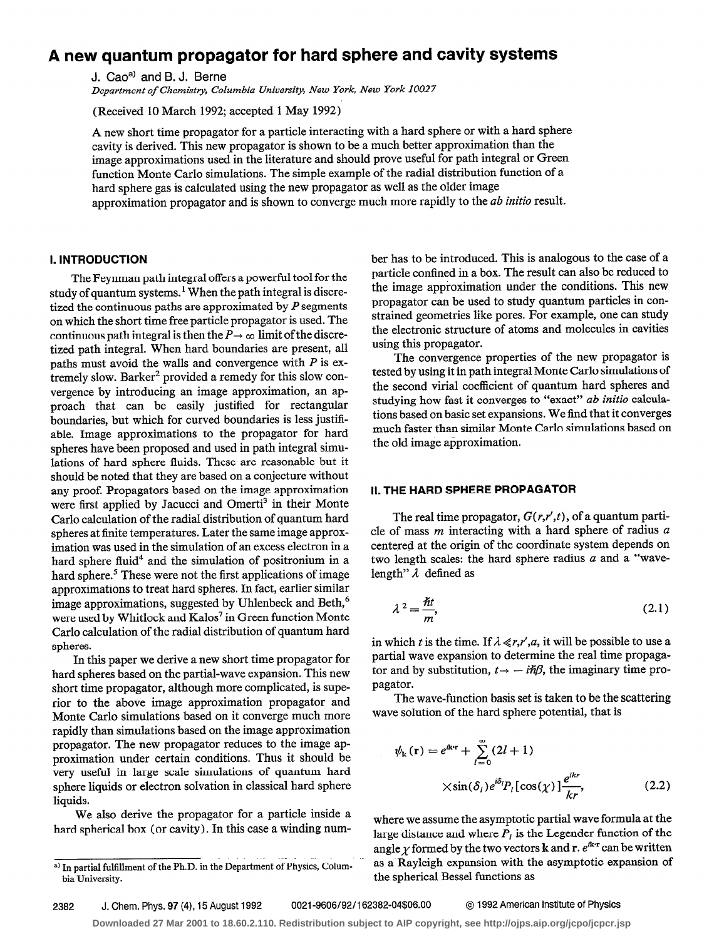# A new quantum propagator for hard sphere and cavity systems

J. Cao<sup>a)</sup> and B. J. Berne

Department of Chemistry, Columbia University, New York, New York 10027

(Received 10 March 1992; accepted 1 May 1992)

A new short time propagator for a particle interacting with a hard sphere or with a hard sphere cavity is derived. This new propagator is shown to be a much better approximation than the image approximations used in the literature and should prove useful for path integral or Green function Monte Carlo simulations. The simple example of the radial distribution function of a hard sphere gas is calculated using the new propagator as well as the older image approximation propagator and is shown to converge much more rapidly to the ab initio result.

## I. INTRODUCTION

The Feynman path integral offers a powerful tool for the study of quantum systems.<sup>1</sup> When the path integral is discretized the continuous paths are approximated by  $P$  segments on which the short time free particle propagator is used. The continuous path integral is then the  $P \rightarrow \infty$  limit of the discretized path integral. When hard boundaries are present, all paths must avoid the walls and convergence with  $P$  is extremely slow. Barker<sup>2</sup> provided a remedy for this slow convergence by introducing an image approximation, an approach that can be easily justified for rectangular boundaries, but which for curved boundaries is less justifiable. Image approximations to the propagator for hard spheres have been proposed and used in path integral simulations of hard sphere fluids. These are reasonable but it should be noted that they are based on a conjecture without any proof. Propagators based on the image approximation were first applied by Jacucci and Omerti<sup>3</sup> in their Monte Carlo calculation of the radial distribution of quantum hard spheres at finite temperatures. Later the same image approximation was used in the simulation of an excess electron in a hard sphere fluid<sup>4</sup> and the simulation of positronium in a hard sphere.<sup>5</sup> These were not the first applications of image approximations to treat hard spheres. In fact, earlier similar image approximations, suggested by Uhlenbeck and Beth,<sup>6</sup> were used by Whitlock and Kalos<sup>7</sup> in Green function Monte Carlo calculation of the radial distribution of quantum hard spheres.

In this paper we derive a new short time propagator for hard spheres based on the partial-wave expansion. This new short time propagator, although more complicated, is superior to the above image approximation propagator and Monte Carlo simulations based on it converge much more rapidly than simulations based on the image approximation propagator. The new propagator reduces to the image approximation under certain conditions. Thus it should be very useful in large scale simulations of quantum hard sphere liquids or electron solvation in classical hard sphere liquids.

We also derive the propagator for a particle inside a hard spherical box (or cavity). In this case a winding number has to be introduced. This is analogous to the case of a particle confined in a box. The result can also be reduced to the image approximation under the conditions. This new propagator can be used to study quantum particles in constrained geometries like pores. For example, one can study the electronic structure of atoms and molecules in cavities using this propagator.

The convergence properties of the new propagator is tested by using it in path integral Monte Carlo simulations of the second virial coefficient of quantum hard spheres and studying how fast it converges to "exact" ab initio calculations based on basic set expansions. We find that it converges much faster than similar Monte Carlo simulations based on the old image approximation.

## II. THE HARD SPHERE PROPAGATOR

The real time propagator,  $G(r,r',t)$ , of a quantum particle of mass  $m$  interacting with a hard sphere of radius  $a$ centered at the origin of the coordinate system depends on two length scales: the hard sphere radius  $a$  and a "wavelength"  $\lambda$  defined as

$$
\lambda^2 = \frac{\hbar t}{m},\tag{2.1}
$$

in which t is the time. If  $\lambda \ll r, r', a$ , it will be possible to use a partial wave expansion to determine the real time propaga tor and by substitution,  $t \rightarrow -i\hbar\beta$ , the imaginary time propagator.

The wave-function basis set is taken to be the scattering wave solution of the hard sphere potential, that is

$$
\psi_{k}(\mathbf{r}) = e^{ik\mathbf{r}} + \sum_{l=0}^{\infty} (2l+1)
$$
  
 
$$
\times \sin(\delta_{l}) e^{i\delta_{l}} P_{l} [\cos(\chi)] \frac{e^{ikr}}{kr},
$$
 (2.2)

where we assume the asymptotic partial wave formula at the large distance and where  $P_l$  is the Legender function of the angle  $\gamma$  formed by the two vectors **k** and **r**.  $e^{ik \cdot \mathbf{r}}$  can be written as a Rayleigh expansion with the asymptotic expansion of the spherical Bessel functions as

2382 J. Chem. Phys. 97 (4), 15 August 1992 0021-9606/92/i 62382-04\$06.00 @ 1992 American Institute of Physics

 $\ddotsc$ <sup>a)</sup> In partial fulfillment of the Ph.D. in the Department of Physics, Colum bia University.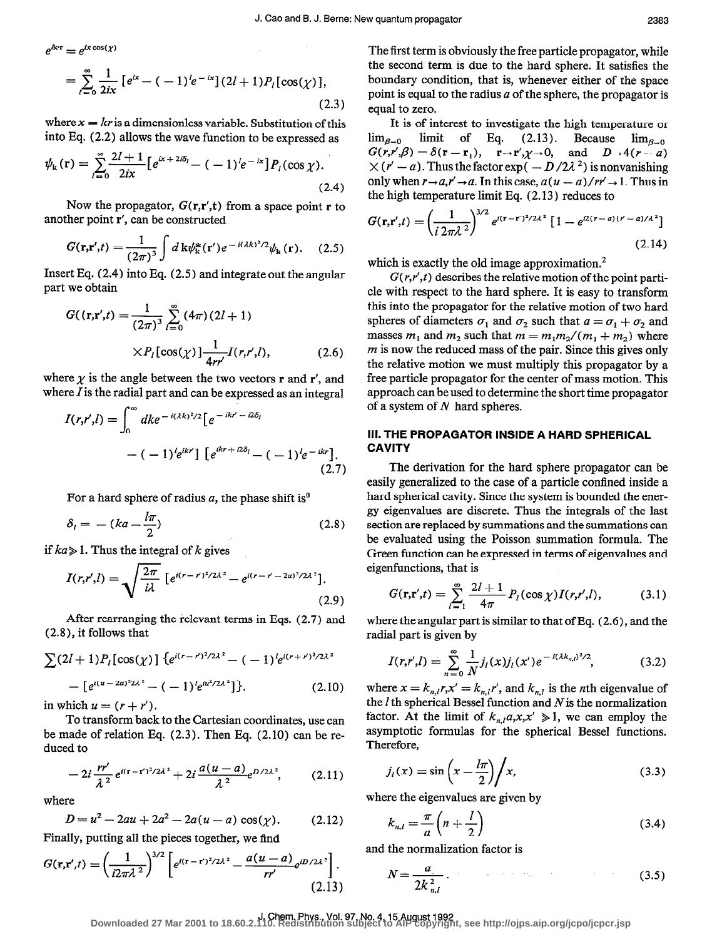$$
e^{i\mathbf{k}\cdot\mathbf{r}}=e^{ix\cos(\chi)}
$$

$$
= \sum_{l=0}^{\infty} \frac{1}{2ix} \left[ e^{ix} - (-1)^{l} e^{-ix} \right] (2l+1) P_l [\cos(\chi)], \tag{2.3}
$$

where  $x = kr$  is a dimensionless variable. Substitution of this into Eq. (2.2) allows the wave function to be expressed as

$$
\psi_{k}(\mathbf{r}) = \sum_{l=0}^{\infty} \frac{2l+1}{2ix} \left[ e^{ix+2i\delta_{l}} - (-1)^{l} e^{-ix} \right] P_{l}(\cos \chi). \tag{2.4}
$$

Now the propagator,  $G(\mathbf{r}, \mathbf{r}', \mathbf{t})$  from a space point r to another point r', can be constructed

$$
G(\mathbf{r}, \mathbf{r}', t) = \frac{1}{(2\pi)^3} \int d\mathbf{k} \psi_{\mathbf{k}}^*(\mathbf{r}') e^{-i(\lambda k)^2/2} \psi_{\mathbf{k}}(\mathbf{r}). \quad (2.5)
$$

Insert Eq.  $(2.4)$  into Eq.  $(2.5)$  and integrate out the angular part we obtain

$$
G((\mathbf{r}, \mathbf{r}', t) = \frac{1}{(2\pi)^3} \sum_{l=0}^{\infty} (4\pi)(2l+1)
$$

$$
\times P_l[\cos(\chi)] \frac{1}{4rr'} I(r, r', l), \qquad (2.6)
$$

where  $\chi$  is the angle between the two vectors **r** and **r'**, and where  $I$  is the radial part and can be expressed as an integral

$$
I(r,r',l) = \int_0^\infty dk e^{-i(\lambda k)^2/2} \left[ e^{-ikr'-i2\delta_l} - (-1)^l e^{ikr}\right] \left[ e^{ikr+i2\delta_l} - (-1)^l e^{-ikr} \right].
$$
\n(2.7)

For a hard sphere of radius  $a$ , the phase shift is<sup>8</sup>

$$
\delta_l = - (ka - \frac{l\pi}{2}) \tag{2.8}
$$

if  $ka \geq 1$ . Thus the integral of k gives

$$
I(r,r',l) = \sqrt{\frac{2\pi}{i\lambda} \left[ e^{i(r-r')^2/2\lambda^2} - e^{i(r-r'-2a)^2/2\lambda^2} \right]}.
$$
\n(2.9)

After rearranging the relevant terms in Eqs. (2.7) and (2.8), it follows that

$$
\sum (2l+1)P_l[\cos(\chi)] \{e^{i(r-r)^2/2\lambda^2} - (-1)^l e^{i(r+r)^2/2\lambda^2} - [e^{i(u-2a)^2 2\lambda^2} - (-1)^l e^{iu^2/2\lambda^2}] \}.
$$
 (2.10)

in which  $u = (r + r')$ .

To transform back to the Cartesian coordinates, use can be made of relation Eq. (2.3). Then Eq. (2.10) can be reduced to

$$
-2i\frac{rr'}{\lambda^2}e^{i(r-r')^2/2\lambda^2}+2i\frac{a(u-a)}{\lambda^2}e^{D/2\lambda^2},\qquad(2.11)
$$

where

$$
D = u2 - 2au + 2a2 - 2a(u - a) \cos(\chi).
$$
 (2.12)

Finally, putting all the pieces together, we find

$$
G(\mathbf{r}, \mathbf{r}', t) = \left(\frac{1}{i2\pi\lambda^2}\right)^{3/2} \left[e^{i(\mathbf{r} - \mathbf{r}')^2/2\lambda^2} - \frac{a(u-a)}{rr'}e^{iD/2\lambda^2}\right].
$$
\n(2.13)

The first term is obviously the free particle propagator, while the second term is due to the hard sphere. It satisfies the boundary condition, that is, whenever either of the space point is equal to the radius  $a$  of the sphere, the propagator is equal to zero.

It is of interest to investigate the high temperature or  $\lim_{\beta \to 0}$  limit of Eq. (2.13). Because  $\lim_{\beta \to 0}$  $G(r,r',\beta) = \delta(r-r_1), \quad r \rightarrow r', \gamma \rightarrow 0, \text{ and } D \rightarrow 4(r-a)$  $\times (r'-a)$ . Thus the factor exp(  $-D/2\lambda^2$ ) is nonvanishing only when  $r \rightarrow a, r' \rightarrow a$ . In this case,  $a(u - a)/rr' \rightarrow 1$ . Thus in the high temperature limit Eq. (2.13) reduces to

$$
G(\mathbf{r}, \mathbf{r}', t) = \left(\frac{1}{i 2\pi\lambda^2}\right)^{3/2} e^{i(\mathbf{r} - \mathbf{r}')^2 / 2\lambda^2} \left[1 - e^{i2(\mathbf{r} - a)(\mathbf{r}' - a)/\lambda^2}\right]
$$
\n(2.14)

which is exactly the old image approximation.<sup>2</sup>

 $G(r,r',t)$  describes the relative motion of the point particle with respect to the hard sphere. It is easy to transform this into the propagator for the relative motion of two hard spheres of diameters  $\sigma_1$  and  $\sigma_2$  such that  $a = \sigma_1 + \sigma_2$  and masses  $m_1$  and  $m_2$  such that  $m = m_1m_2/(m_1 + m_2)$  where  $m$  is now the reduced mass of the pair. Since this gives only the relative motion we must multiply this propagator by a free particle propagator for the center of mass motion. This approach can be used to determine the short time propagator of a system of  $N$  hard spheres.

## Ill. THE PROPAGATOR INSIDE A HARD SPHERICAL **CAVITY**

The derivation for the hard sphere propagator can be easily generalized to the case of a particle confined inside a hard spherical cavity. Since the system is bounded the energy eigenvalues are discrete. Thus the integrals of the last section are replaced by summations and the summations can be evaluated using the Poisson summation formula. The Green function can be expressed in terms of eigenvalues and eigenfunctions, that is

$$
G(\mathbf{r}, \mathbf{r}', t) = \sum_{l=1}^{\infty} \frac{2l+1}{4\pi} P_l(\cos \chi) I(r, r', l), \tag{3.1}
$$

where the angular part is similar to that of Eq. (2.6), and the radial part is given by

$$
I(r,r',l)=\sum_{n=0}^{\infty}\frac{1}{N}j_l(x)j_l(x')e^{-i(\lambda k_{n,l})^2/2},\qquad(3.2)
$$

where  $x = k_{n,l}r$ ,  $x' = k_{n,l}r'$ , and  $k_{n,l}$  is the *n*th eigenvalue of the  $l$  th spherical Bessel function and  $N$  is the normalization factor. At the limit of  $k_{n,l}a,x,x' \geq 1$ , we can employ the asymptotic formulas for the spherical Bessel functions. Therefore,

$$
j_l(x) = \sin\left(x - \frac{l\pi}{2}\right) / x,\tag{3.3}
$$

where the eigenvalues are given by

$$
k_{n,l} = \frac{\pi}{a} \left( n + \frac{l}{2} \right) \tag{3.4}
$$

and the normalization factor is

$$
N = \frac{a}{2k_{n,l}^2} \,. \tag{3.5}
$$

J. Chem. Phys., Vol. 97, No. 4,15 August 1992 **Downloaded 27 Mar 2001 to 18.60.2.110. Redistribution subject to AIP copyright, see http://ojps.aip.org/jcpo/jcpcr.jsp**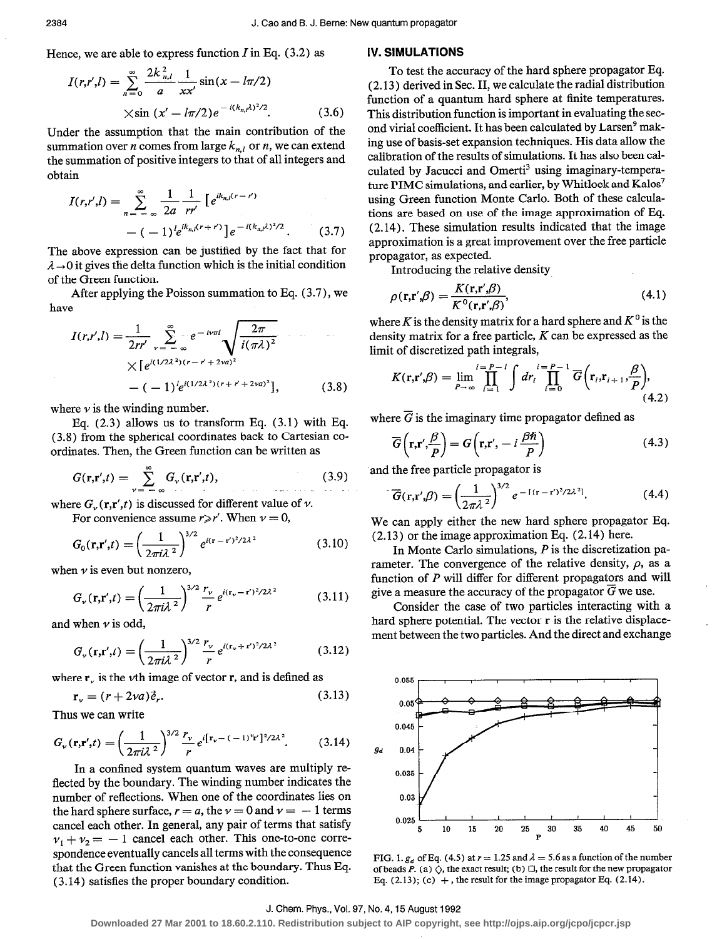Hence, we are able to express function  $I$  in Eq. (3.2) as

$$
I(r,r',l) = \sum_{n=0}^{\infty} \frac{2k \frac{2}{n}l}{a} \frac{1}{xx'} \sin(x - l\pi/2)
$$
  
 
$$
\times \sin(x'-l\pi/2)e^{-i(k_{n},\mu)^2/2}.
$$
 (3.6)

Under the assumption that the main contribution of the summation over *n* comes from large  $k_{n,l}$  or *n*, we can extend the summation of positive integers to that of all integers and obtain

$$
I(r,r',l) = \sum_{n=-\infty}^{\infty} \frac{1}{2a} \frac{1}{rr'} \left[ e^{ik_{n,l}(r-r')} - (-1)^{l} e^{ik_{n,l}(r+r')} \right] e^{-i(k_{n,l}\lambda)^{2}/2}.
$$
 (3.7)

The above expression can be justified by the fact that for  $\lambda \rightarrow 0$  it gives the delta function which is the initial condition of the Green function.

After applying the Poisson summation to Eq. (3.7), we have

$$
I(r,r',l) = \frac{1}{2rr'} \sum_{\nu=-\infty}^{\infty} e^{-i\nu\pi l} \sqrt{\frac{2\pi}{i(\pi\lambda)^2}}
$$
  
 
$$
\times [e^{i(1/2\lambda^2)(r-r'+2\nu a)^2}]
$$
  
 
$$
-(-1)^l e^{i(1/2\lambda^2)(r+r'+2\nu a)^2}], \qquad (3.8)
$$

where  $\nu$  is the winding number.

Eq. (2.3) allows us to transform Eq. (3.1) with Eq. (3.8) from the spherical coordinates back to Cartesian coordinates. Then, the Green function can be written as

$$
G(\mathbf{r}, \mathbf{r}', t) = \sum_{\nu = -\infty}^{\infty} G_{\nu}(\mathbf{r}, \mathbf{r}', t),
$$
 (3.9)

where  $G_{\nu}(\mathbf{r}, \mathbf{r}', t)$  is discussed for different value of  $\nu$ .

For convenience assume  $r \ge r'$ . When  $v = 0$ ,

$$
G_0(\mathbf{r}, \mathbf{r}', t) = \left(\frac{1}{2\pi i \lambda^2}\right)^{3/2} e^{i(\mathbf{r} - \mathbf{r}')^2 / 2\lambda^2}
$$
(3.10)

when  $\nu$  is even but nonzero,

$$
G_{\nu}(\mathbf{r}, \mathbf{r}', t) = \left(\frac{1}{2\pi i \lambda^2}\right)^{3/2} \frac{r_{\nu}}{r} e^{i(\mathbf{r}_{\nu} - \mathbf{r}')^2 / 2\lambda^2}
$$
(3.11)

and when  $\nu$  is odd,

$$
G_{\nu}(\mathbf{r}, \mathbf{r}', t) = \left(\frac{1}{2\pi i \lambda^2}\right)^{3/2} \frac{r_{\nu}}{r} e^{i(\mathbf{r}_{\nu} + \mathbf{r}')^2 / 2\lambda^2}
$$
(3.12)

where  $r_{\nu}$  is the *v*th image of vector r, and is defined as

$$
\mathbf{r}_v = (r + 2va)\vec{e}_r. \tag{3.13}
$$

Thus we can write

$$
G_{\nu}(\mathbf{r}, \mathbf{r}', t) = \left(\frac{1}{2\pi i \lambda^2}\right)^{3/2} \frac{r_{\nu}}{r} e^{i[\mathbf{r}_{\nu} - (-1)^{\nu} \mathbf{r}']^2 / 2\lambda^2}.
$$
 (3.14)

In a confined system quantum waves are multiply reflected by the boundary. The winding number indicates the number of reflections. When one of the coordinates lies on the hard sphere surface,  $r = a$ , the  $v = 0$  and  $v = -1$  terms cancel each other. In general, any pair of terms that satisfy  $v_1 + v_2 = -1$  cancel each other. This one-to-one correspondence eventually cancels all terms with the consequence that the Green function vanishes at the boundary. Thus Eq. (3.14) satisfies the proper boundary condition.

#### IV. SIMULATIONS

To test the accuracy of the hard sphere propagator Eq. ( 2.13 ) derived in Sec. II, we calculate the radial distribution function of a quantum hard sphere at finite temperatures. This distribution function is important in evaluating the second virial coefficient. It has been calculated by Larsen' making use of basis-set expansion techniques. His data allow the calibration of the results of simulations. It has also been calculated by Jacucci and Omerti<sup>3</sup> using imaginary-temperature PIMC simulations, and earlier, by Whitlock and Kalos<sup>7</sup> using Green function Monte Carlo. Both of these calculations are based on use of the image approximation of Eq. (2.14). These simulation results indicated that the image approximation is a great improvement over the free particle propagator, as expected.

Introducing the relative density

$$
\rho(\mathbf{r}, \mathbf{r}', \beta) = \frac{K(\mathbf{r}, \mathbf{r}', \beta)}{K^0(\mathbf{r}, \mathbf{r}', \beta)},\tag{4.1}
$$

where K is the density matrix for a hard sphere and  $K^0$  is the density matrix for a free particle,  $K$  can be expressed as the limit of discretized path integrals,

$$
K(\mathbf{r}, \mathbf{r}', \beta) = \lim_{P \to \infty} \prod_{i=1}^{i=P-1} \int dr_i \prod_{i=0}^{i=P-1} \overline{G}\left(\mathbf{r}_i, \mathbf{r}_{i+1}, \frac{\beta}{P}\right),\tag{4.2}
$$

where  $\vec{G}$  is the imaginary time propagator defined as

$$
\overline{G}\left(\mathbf{r,r}',\frac{\beta}{P}\right) = G\left(\mathbf{r,r}',-i\,\frac{\beta\hbar}{P}\right) \tag{4.3}
$$

and the free particle propagator is

$$
\overline{G}(\mathbf{r}, \mathbf{r}', \beta) = \left(\frac{1}{2\pi\lambda^2}\right)^{3/2} e^{-[(\mathbf{r} - \mathbf{r}')^2/2\lambda^2]}.
$$
 (4.4)

We can apply either the new hard sphere propagator Eq. (2.13) or the image approximation Eq. (2.14) here.

In Monte Carlo simulations,  $P$  is the discretization parameter. The convergence of the relative density,  $\rho$ , as a function of P will differ for different propagators and will give a measure the accuracy of the propagator  $\overline{G}$  we use.

Consider the case of two particles interacting with a hard sphere potential. The vector  $\bf{r}$  is the relative displacement between the two particles. And the direct and exchange



FIG. 1.  $g_d$  of Eq. (4.5) at  $r = 1.25$  and  $\lambda = 5.6$  as a function of the number of beads P. (a)  $\Diamond$ , the exact result; (b)  $\Box$ , the result for the new propagator Eq. (2.13); (c)  $+$ , the result for the image propagator Eq. (2.14).

#### J. Chem. Phys., Vol. 97, No. 4,15 August 1992